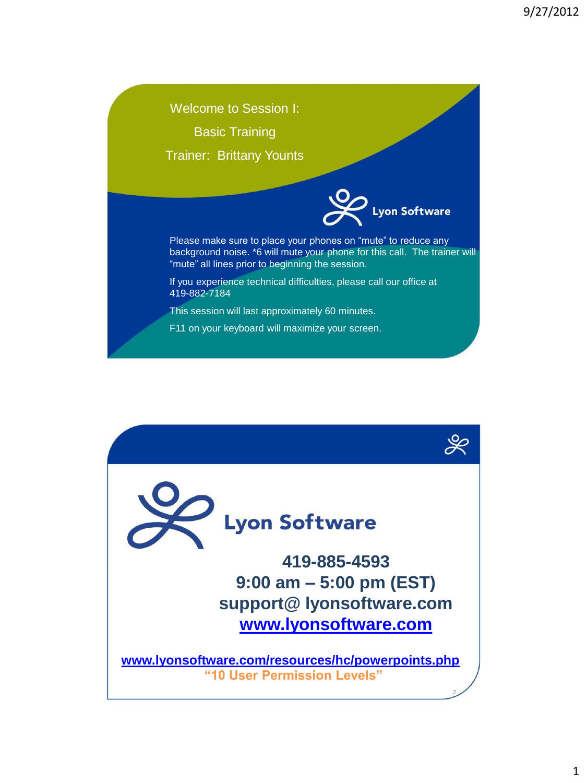Welcome to Session I: Basic Training Trainer: Brittany Younts on Software Please make sure to place your phones on "mute" to reduce any background noise. \*6 will mute your phone for this call. The trainer will "mute" all lines prior to beginning the session. If you experience technical difficulties, please call our office at 419-882-7184 This session will last approximately 60 minutes. F11 on your keyboard will maximize your screen.

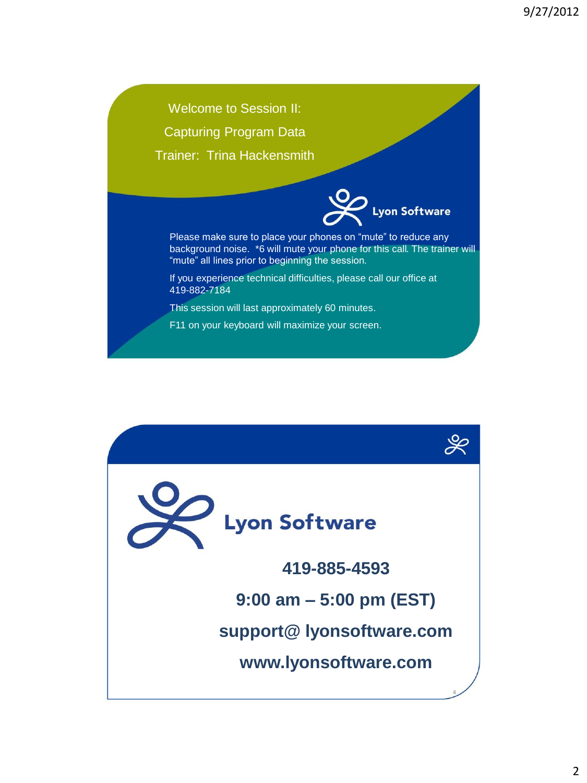Welcome to Session II: Capturing Program Data Trainer: Trina Hackensmith



Please make sure to place your phones on "mute" to reduce any background noise. \*6 will mute your phone for this call. The trainer will "mute" all lines prior to beginning the session.

If you experience technical difficulties, please call our office at 419-882-7184

This session will last approximately 60 minutes.

F11 on your keyboard will maximize your screen.

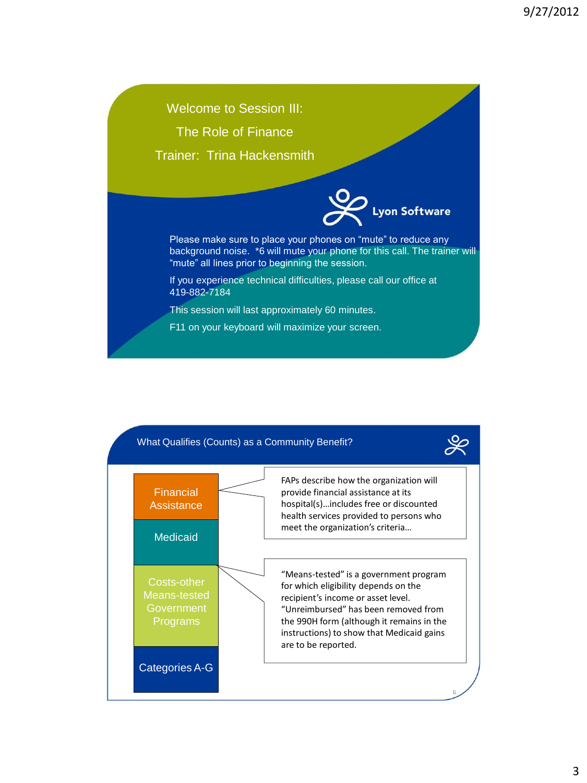

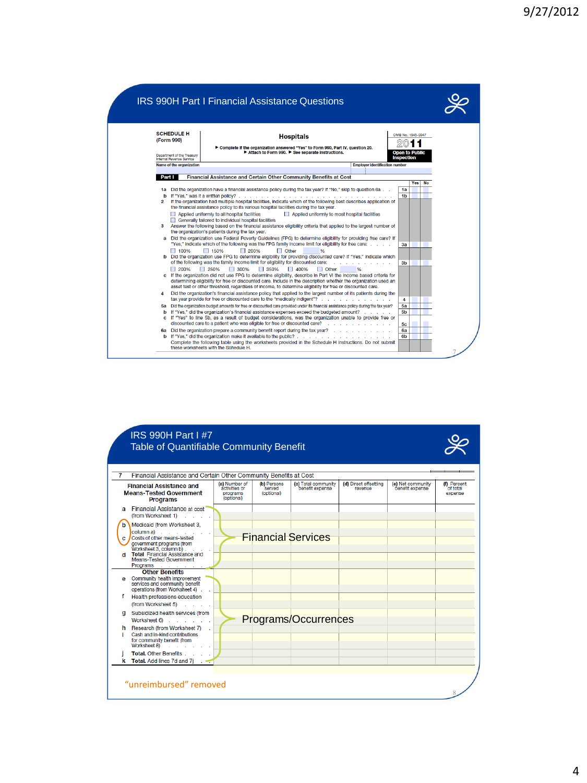

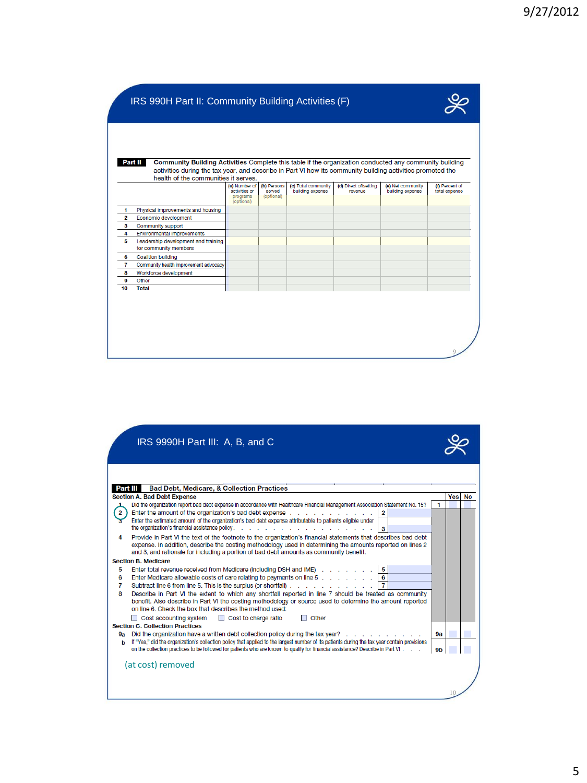|    | Part II<br>Community Building Activities Complete this table if the organization conducted any community building                                  |                                            |                                     |                                         |                                  |                                       |                                 |
|----|----------------------------------------------------------------------------------------------------------------------------------------------------|--------------------------------------------|-------------------------------------|-----------------------------------------|----------------------------------|---------------------------------------|---------------------------------|
|    | activities during the tax year, and describe in Part VI how its community building activities promoted the<br>health of the communities it serves. |                                            |                                     |                                         |                                  |                                       |                                 |
|    |                                                                                                                                                    | (a) Number of<br>activities or<br>programs | (b) Persons<br>served<br>(optional) | (c) Total community<br>building expense | (d) Direct offsetting<br>revenue | (e) Net community<br>building expense | (f) Percent of<br>total expense |
|    | Physical improvements and housing                                                                                                                  | (optional)                                 |                                     |                                         |                                  |                                       |                                 |
| 2  | Economic development                                                                                                                               |                                            |                                     |                                         |                                  |                                       |                                 |
| 3  | Community support                                                                                                                                  |                                            |                                     |                                         |                                  |                                       |                                 |
| 4  | <b>Environmental improvements</b>                                                                                                                  |                                            |                                     |                                         |                                  |                                       |                                 |
| 5  | Leadership development and training<br>for community members                                                                                       |                                            |                                     |                                         |                                  |                                       |                                 |
| 6  | <b>Coalition building</b>                                                                                                                          |                                            |                                     |                                         |                                  |                                       |                                 |
| 7  | Community health improvement advocacy                                                                                                              |                                            |                                     |                                         |                                  |                                       |                                 |
| 8  | Workforce development                                                                                                                              |                                            |                                     |                                         |                                  |                                       |                                 |
| 9  | Other                                                                                                                                              |                                            |                                     |                                         |                                  |                                       |                                 |
| 10 | <b>Total</b>                                                                                                                                       |                                            |                                     |                                         |                                  |                                       |                                 |

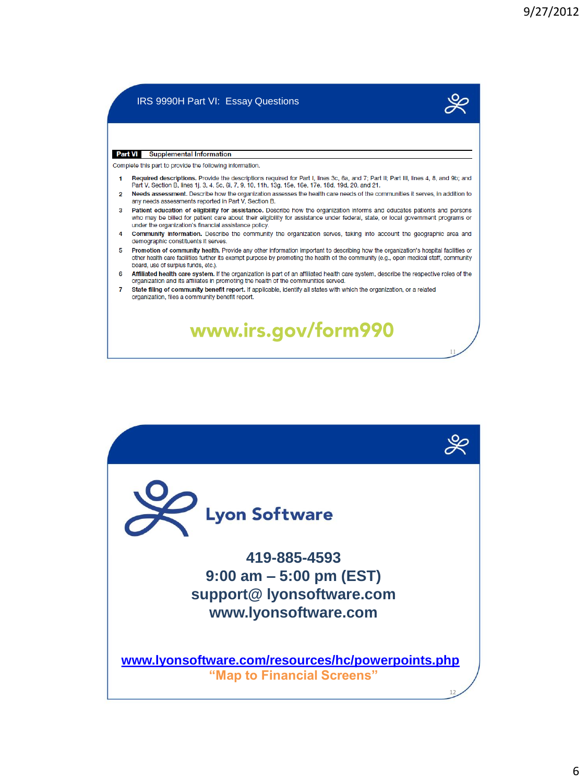## IRS 9990H Part VI: Essay Questions



11

12

## **Part VI** Supplemental Information

Complete this part to provide the following information.

- Required descriptions. Provide the descriptions required for Part I, lines 3c, 6a, and 7; Part II; Part III, lines 4, 8, and 9b; and  $\blacksquare$ Part V, Section B, lines 1j, 3, 4, 5c, 6i, 7, 9, 10, 11h, 13g, 15e, 16e, 17e, 18d, 19d, 20, and 21.
- Needs assessment. Describe how the organization assesses the health care needs of the communities it serves, in addition to  $\overline{2}$ any needs assessments reported in Part V, Section B.
- 3 Patient education of eligibility for assistance. Describe how the organization informs and educates patients and persons who may be billed for patient care about their eligibility for assistance under federal, state, or local government programs or under the organization's financial assistance policy.
- 4 Community information. Describe the community the organization serves, taking into account the geographic area and demographic constituents it serves.
- 5 Promotion of community health. Provide any other information important to describing how the organization's hospital facilities or other health care facilities further its exempt purpose by promoting the health of the community (e.g., open medical staff, community board, use of surplus funds, etc.).
- 6 Affiliated health care system. If the organization is part of an affiliated health care system, describe the respective roles of the organization and its affiliates in promoting the health of the communities served.

www.irs.gov/form990

7 State filing of community benefit report. If applicable, identify all states with which the organization, or a related organization, files a community benefit report.

## **Lyon Software 419-885-4593 9:00 am – 5:00 pm (EST) support@ lyonsoftware.com www.lyonsoftware.com**

**[www.lyonsoftware.com/resources/hc/powerpoints.php](http://www.lyonsoftware.com/resources/hc/powerpoints.php) "Map to Financial Screens"**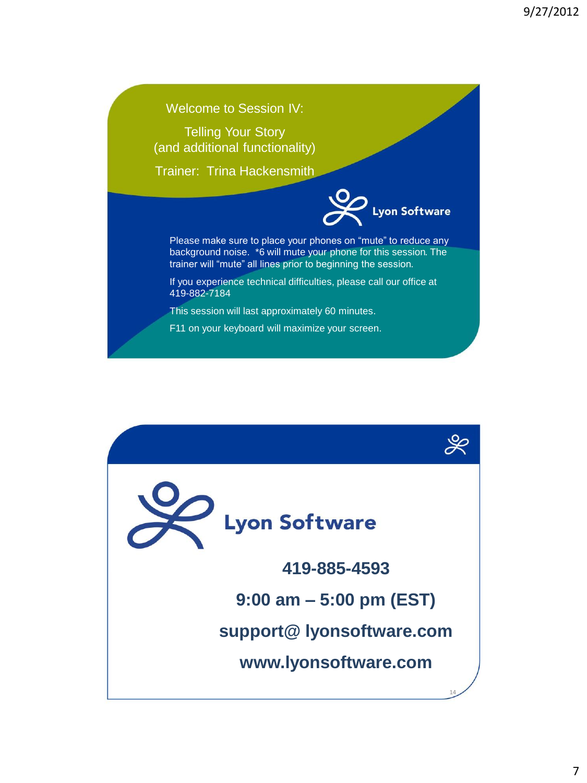## Welcome to Session IV: Telling Your Story (and additional functionality) Trainer: Trina Hackensmith yon Software Please make sure to place your phones on "mute" to reduce any background noise. \*6 will mute your phone for this session. The trainer will "mute" all lines prior to beginning the session. If you experience technical difficulties, please call our office at 419-882-7184 This session will last approximately 60 minutes. F11 on your keyboard will maximize your screen.

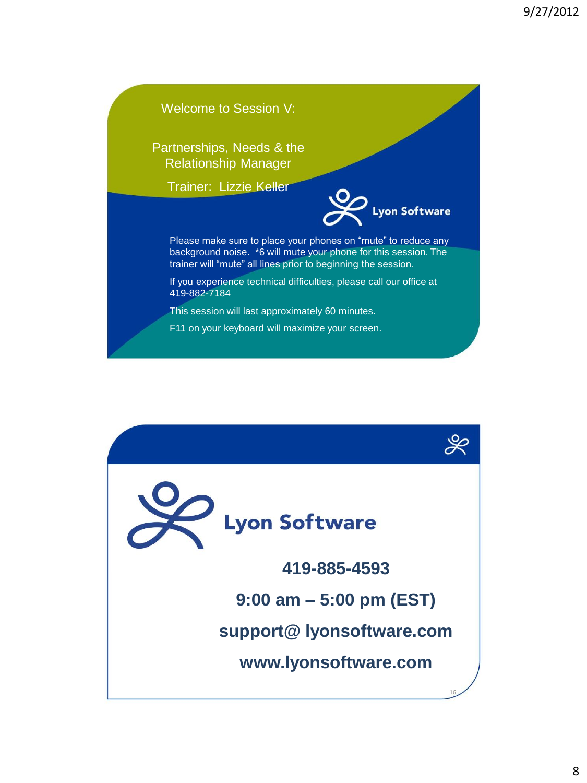

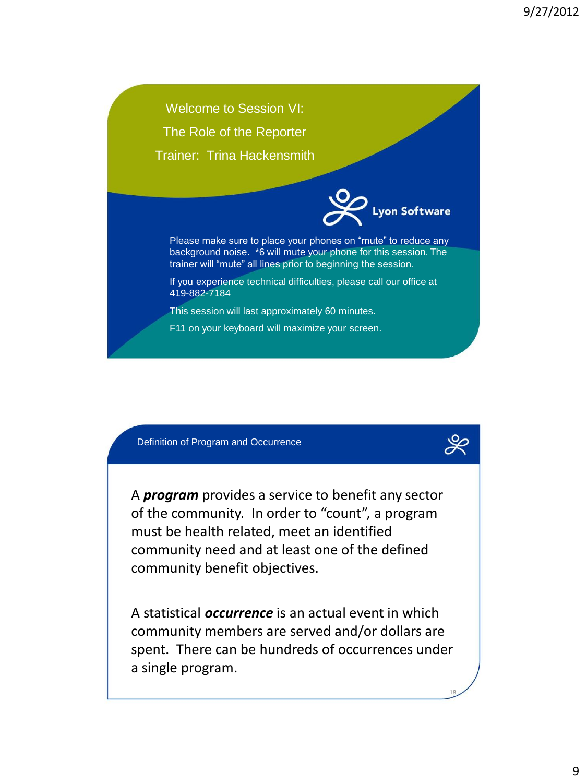Welcome to Session VI: The Role of the Reporter Trainer: Trina Hackensmith on Software Please make sure to place your phones on "mute" to reduce any background noise. \*6 will mute your phone for this session. The trainer will "mute" all lines prior to beginning the session. If you experience technical difficulties, please call our office at 419-882-7184 This session will last approximately 60 minutes. F11 on your keyboard will maximize your screen.

Definition of Program and Occurrence

A *program* provides a service to benefit any sector of the community. In order to "count", a program must be health related, meet an identified community need and at least one of the defined community benefit objectives.

A statistical *occurrence* is an actual event in which community members are served and/or dollars are spent. There can be hundreds of occurrences under a single program.

18